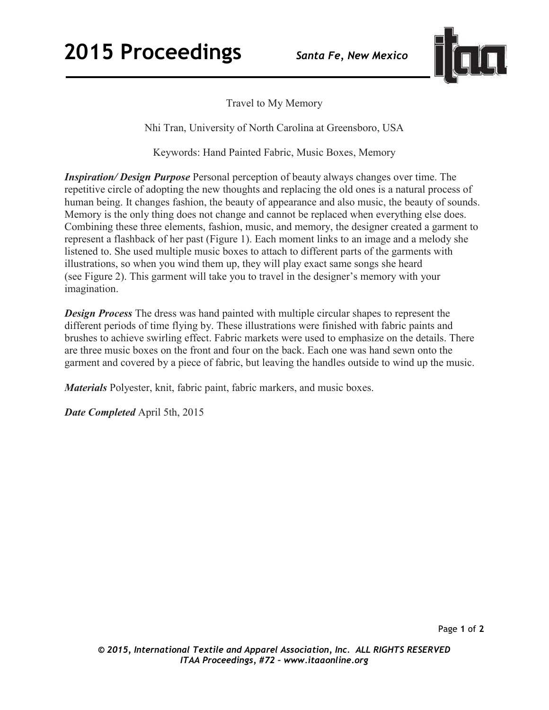

Travel to My Memory

Nhi Tran, University of North Carolina at Greensboro, USA

Keywords: Hand Painted Fabric, Music Boxes, Memory

*Inspiration/ Design Purpose* Personal perception of beauty always changes over time. The repetitive circle of adopting the new thoughts and replacing the old ones is a natural process of human being. It changes fashion, the beauty of appearance and also music, the beauty of sounds. Memory is the only thing does not change and cannot be replaced when everything else does. Combining these three elements, fashion, music, and memory, the designer created a garment to represent a flashback of her past (Figure 1). Each moment links to an image and a melody she listened to. She used multiple music boxes to attach to different parts of the garments with illustrations, so when you wind them up, they will play exact same songs she heard (see Figure 2). This garment will take you to travel in the designer's memory with your imagination.

*Design Process* The dress was hand painted with multiple circular shapes to represent the different periods of time flying by. These illustrations were finished with fabric paints and brushes to achieve swirling effect. Fabric markets were used to emphasize on the details. There are three music boxes on the front and four on the back. Each one was hand sewn onto the garment and covered by a piece of fabric, but leaving the handles outside to wind up the music.

*Materials* Polyester, knit, fabric paint, fabric markers, and music boxes.

*Date Completed* April 5th, 2015